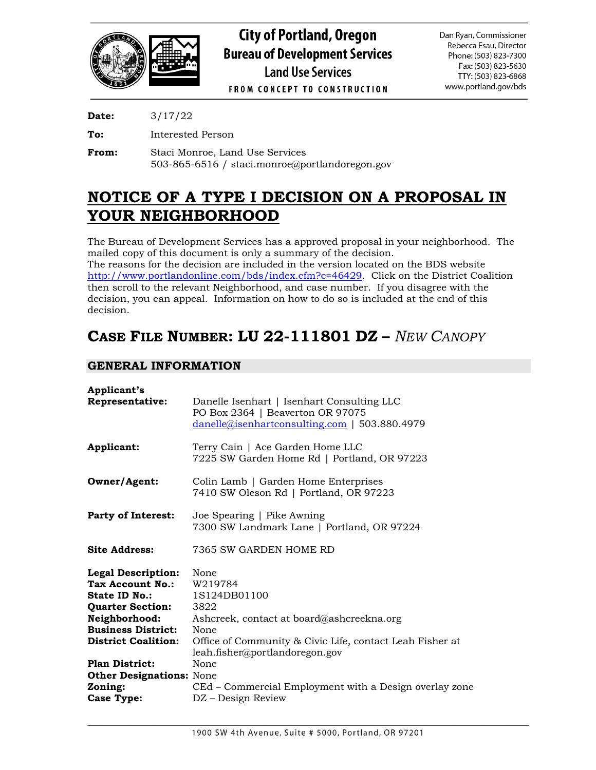

**Date:** 3/17/22

**To:** Interested Person

**From:** Staci Monroe, Land Use Services 503-865-6516 / staci.monroe@portlandoregon.gov

# **NOTICE OF A TYPE I DECISION ON A PROPOSAL IN YOUR NEIGHBORHOOD**

The Bureau of Development Services has a approved proposal in your neighborhood. The mailed copy of this document is only a summary of the decision. The reasons for the decision are included in the version located on the BDS website

[http://www.portlandonline.com/bds/index.cfm?c=46429.](http://www.portlandonline.com/bds/index.cfm?c=46429) Click on the District Coalition then scroll to the relevant Neighborhood, and case number. If you disagree with the decision, you can appeal. Information on how to do so is included at the end of this decision.

# **CASE FILE NUMBER: LU 22-111801 DZ –** *NEW CANOPY*

# **GENERAL INFORMATION**

| Applicant's<br>Representative:                                                                             | Danelle Isenhart   Isenhart Consulting LLC<br>PO Box 2364   Beaverton OR 97075<br>$danelle@isenhartconsulting.com$   503.880.4979 |
|------------------------------------------------------------------------------------------------------------|-----------------------------------------------------------------------------------------------------------------------------------|
| Applicant:                                                                                                 | Terry Cain   Ace Garden Home LLC<br>7225 SW Garden Home Rd   Portland, OR 97223                                                   |
| Owner/Agent:                                                                                               | Colin Lamb   Garden Home Enterprises<br>7410 SW Oleson Rd   Portland, OR 97223                                                    |
| <b>Party of Interest:</b>                                                                                  | Joe Spearing   Pike Awning<br>7300 SW Landmark Lane   Portland, OR 97224                                                          |
| <b>Site Address:</b>                                                                                       | 7365 SW GARDEN HOME RD                                                                                                            |
| <b>Legal Description:</b><br>Tax Account No.:<br>State ID No.:<br><b>Quarter Section:</b><br>Neighborhood: | None<br>W219784<br>1S124DB01100<br>3822<br>Ashcreek, contact at board@ashcreekna.org                                              |
| <b>Business District:</b><br><b>District Coalition:</b>                                                    | None<br>Office of Community & Civic Life, contact Leah Fisher at<br>leah.fisher@portlandoregon.gov                                |
| <b>Plan District:</b><br><b>Other Designations: None</b><br>Zoning:                                        | None<br>CEd – Commercial Employment with a Design overlay zone                                                                    |
| <b>Case Type:</b>                                                                                          | DZ – Design Review                                                                                                                |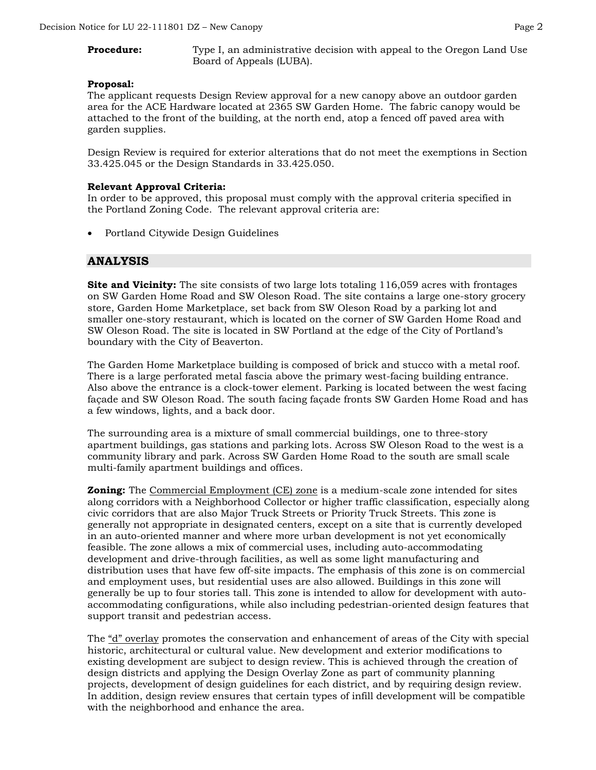# **Procedure:** Type I, an administrative decision with appeal to the Oregon Land Use Board of Appeals (LUBA).

#### **Proposal:**

The applicant requests Design Review approval for a new canopy above an outdoor garden area for the ACE Hardware located at 2365 SW Garden Home. The fabric canopy would be attached to the front of the building, at the north end, atop a fenced off paved area with garden supplies.

Design Review is required for exterior alterations that do not meet the exemptions in Section 33.425.045 or the Design Standards in 33.425.050.

#### **Relevant Approval Criteria:**

In order to be approved, this proposal must comply with the approval criteria specified in the Portland Zoning Code. The relevant approval criteria are:

• Portland Citywide Design Guidelines

# **ANALYSIS**

**Site and Vicinity:** The site consists of two large lots totaling 116,059 acres with frontages on SW Garden Home Road and SW Oleson Road. The site contains a large one-story grocery store, Garden Home Marketplace, set back from SW Oleson Road by a parking lot and smaller one-story restaurant, which is located on the corner of SW Garden Home Road and SW Oleson Road. The site is located in SW Portland at the edge of the City of Portland's boundary with the City of Beaverton.

The Garden Home Marketplace building is composed of brick and stucco with a metal roof. There is a large perforated metal fascia above the primary west-facing building entrance. Also above the entrance is a clock-tower element. Parking is located between the west facing façade and SW Oleson Road. The south facing façade fronts SW Garden Home Road and has a few windows, lights, and a back door.

The surrounding area is a mixture of small commercial buildings, one to three-story apartment buildings, gas stations and parking lots. Across SW Oleson Road to the west is a community library and park. Across SW Garden Home Road to the south are small scale multi-family apartment buildings and offices.

**Zoning:** The Commercial Employment (CE) zone is a medium-scale zone intended for sites along corridors with a Neighborhood Collector or higher traffic classification, especially along civic corridors that are also Major Truck Streets or Priority Truck Streets. This zone is generally not appropriate in designated centers, except on a site that is currently developed in an auto-oriented manner and where more urban development is not yet economically feasible. The zone allows a mix of commercial uses, including auto-accommodating development and drive-through facilities, as well as some light manufacturing and distribution uses that have few off-site impacts. The emphasis of this zone is on commercial and employment uses, but residential uses are also allowed. Buildings in this zone will generally be up to four stories tall. This zone is intended to allow for development with autoaccommodating configurations, while also including pedestrian-oriented design features that support transit and pedestrian access.

The "d" overlay promotes the conservation and enhancement of areas of the City with special historic, architectural or cultural value. New development and exterior modifications to existing development are subject to design review. This is achieved through the creation of design districts and applying the Design Overlay Zone as part of community planning projects, development of design guidelines for each district, and by requiring design review. In addition, design review ensures that certain types of infill development will be compatible with the neighborhood and enhance the area.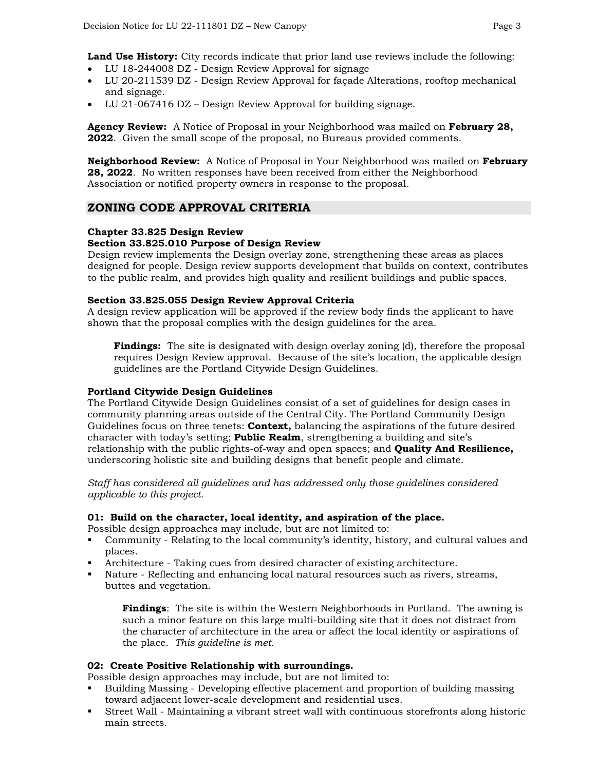**Land Use History:** City records indicate that prior land use reviews include the following:

- LU 18-244008 DZ Design Review Approval for signage
- LU 20-211539 DZ Design Review Approval for façade Alterations, rooftop mechanical and signage.
- LU 21-067416 DZ Design Review Approval for building signage.

**Agency Review:** A Notice of Proposal in your Neighborhood was mailed on **February 28, 2022**. Given the small scope of the proposal, no Bureaus provided comments.

**Neighborhood Review:** A Notice of Proposal in Your Neighborhood was mailed on **February 28, 2022**. No written responses have been received from either the Neighborhood Association or notified property owners in response to the proposal.

# **ZONING CODE APPROVAL CRITERIA**

# **Chapter 33.825 Design Review**

# **Section 33.825.010 Purpose of Design Review**

Design review implements the Design overlay zone, strengthening these areas as places designed for people. Design review supports development that builds on context, contributes to the public realm, and provides high quality and resilient buildings and public spaces.

#### **Section 33.825.055 Design Review Approval Criteria**

A design review application will be approved if the review body finds the applicant to have shown that the proposal complies with the design guidelines for the area.

**Findings:** The site is designated with design overlay zoning (d), therefore the proposal requires Design Review approval. Because of the site's location, the applicable design guidelines are the Portland Citywide Design Guidelines.

#### **Portland Citywide Design Guidelines**

The Portland Citywide Design Guidelines consist of a set of guidelines for design cases in community planning areas outside of the Central City. The Portland Community Design Guidelines focus on three tenets: **Context,** balancing the aspirations of the future desired character with today's setting; **Public Realm**, strengthening a building and site's relationship with the public rights-of-way and open spaces; and **Quality And Resilience,** underscoring holistic site and building designs that benefit people and climate.

*Staff has considered all guidelines and has addressed only those guidelines considered applicable to this project.*

#### **01: Build on the character, local identity, and aspiration of the place.**

Possible design approaches may include, but are not limited to:

- Community Relating to the local community's identity, history, and cultural values and places.
- Architecture Taking cues from desired character of existing architecture.
- Nature Reflecting and enhancing local natural resources such as rivers, streams, buttes and vegetation.

**Findings**: The site is within the Western Neighborhoods in Portland. The awning is such a minor feature on this large multi-building site that it does not distract from the character of architecture in the area or affect the local identity or aspirations of the place. *This guideline is met.*

#### **02: Create Positive Relationship with surroundings.**

Possible design approaches may include, but are not limited to:

- Building Massing Developing effective placement and proportion of building massing toward adjacent lower-scale development and residential uses.
- Street Wall Maintaining a vibrant street wall with continuous storefronts along historic main streets.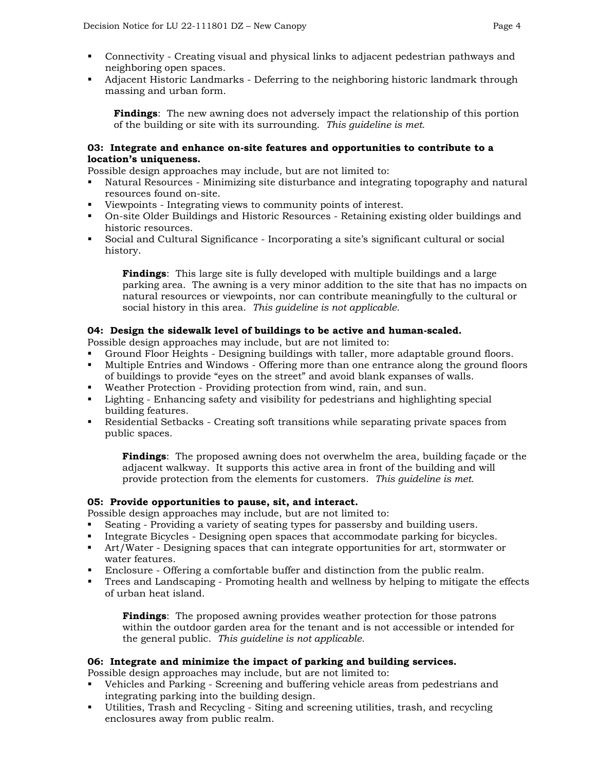- Connectivity Creating visual and physical links to adjacent pedestrian pathways and neighboring open spaces.
- Adjacent Historic Landmarks Deferring to the neighboring historic landmark through massing and urban form.

**Findings**: The new awning does not adversely impact the relationship of this portion of the building or site with its surrounding. *This guideline is met.*

#### **03: Integrate and enhance on-site features and opportunities to contribute to a location's uniqueness.**

Possible design approaches may include, but are not limited to:

- Natural Resources Minimizing site disturbance and integrating topography and natural resources found on-site.
- Viewpoints Integrating views to community points of interest.
- On-site Older Buildings and Historic Resources Retaining existing older buildings and historic resources.
- Social and Cultural Significance Incorporating a site's significant cultural or social history.

**Findings**: This large site is fully developed with multiple buildings and a large parking area. The awning is a very minor addition to the site that has no impacts on natural resources or viewpoints, nor can contribute meaningfully to the cultural or social history in this area. *This guideline is not applicable.*

# **04: Design the sidewalk level of buildings to be active and human-scaled.**

Possible design approaches may include, but are not limited to:

- Ground Floor Heights Designing buildings with taller, more adaptable ground floors.
- Multiple Entries and Windows Offering more than one entrance along the ground floors of buildings to provide "eyes on the street" and avoid blank expanses of walls.
- Weather Protection Providing protection from wind, rain, and sun.
- Lighting Enhancing safety and visibility for pedestrians and highlighting special building features.
- Residential Setbacks Creating soft transitions while separating private spaces from public spaces.

**Findings**: The proposed awning does not overwhelm the area, building façade or the adjacent walkway. It supports this active area in front of the building and will provide protection from the elements for customers. *This guideline is met.*

#### **05: Provide opportunities to pause, sit, and interact.**

Possible design approaches may include, but are not limited to:

- Seating Providing a variety of seating types for passersby and building users.
- Integrate Bicycles Designing open spaces that accommodate parking for bicycles.
- Art/Water Designing spaces that can integrate opportunities for art, stormwater or water features.
- Enclosure Offering a comfortable buffer and distinction from the public realm.
- Trees and Landscaping Promoting health and wellness by helping to mitigate the effects of urban heat island.

**Findings**: The proposed awning provides weather protection for those patrons within the outdoor garden area for the tenant and is not accessible or intended for the general public. *This guideline is not applicable.*

#### **06: Integrate and minimize the impact of parking and building services.**

Possible design approaches may include, but are not limited to:

- Vehicles and Parking Screening and buffering vehicle areas from pedestrians and integrating parking into the building design.
- Utilities, Trash and Recycling Siting and screening utilities, trash, and recycling enclosures away from public realm.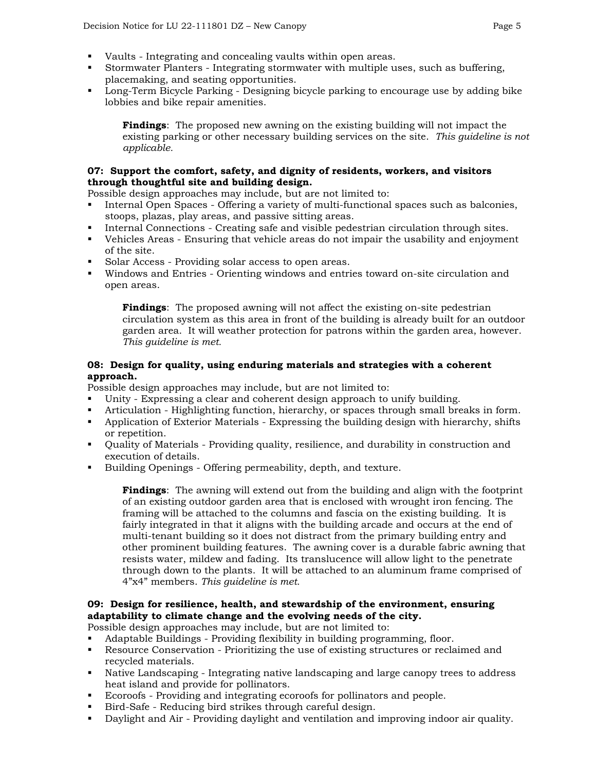- 
- Vaults Integrating and concealing vaults within open areas.
- Stormwater Planters Integrating stormwater with multiple uses, such as buffering, placemaking, and seating opportunities.
- **Long-Term Bicycle Parking Designing bicycle parking to encourage use by adding bike** lobbies and bike repair amenities.

**Findings**: The proposed new awning on the existing building will not impact the existing parking or other necessary building services on the site. *This guideline is not applicable.*

# **07: Support the comfort, safety, and dignity of residents, workers, and visitors through thoughtful site and building design.**

Possible design approaches may include, but are not limited to:

- Internal Open Spaces Offering a variety of multi-functional spaces such as balconies, stoops, plazas, play areas, and passive sitting areas.
- Internal Connections Creating safe and visible pedestrian circulation through sites.
- Vehicles Areas Ensuring that vehicle areas do not impair the usability and enjoyment of the site.
- Solar Access Providing solar access to open areas.
- Windows and Entries Orienting windows and entries toward on-site circulation and open areas.

**Findings**: The proposed awning will not affect the existing on-site pedestrian circulation system as this area in front of the building is already built for an outdoor garden area. It will weather protection for patrons within the garden area, however. *This guideline is met.*

# **08: Design for quality, using enduring materials and strategies with a coherent approach.**

Possible design approaches may include, but are not limited to:

- Unity Expressing a clear and coherent design approach to unify building.
- Articulation Highlighting function, hierarchy, or spaces through small breaks in form.
- Application of Exterior Materials Expressing the building design with hierarchy, shifts or repetition.
- Quality of Materials Providing quality, resilience, and durability in construction and execution of details.
- Building Openings Offering permeability, depth, and texture.

**Findings**: The awning will extend out from the building and align with the footprint of an existing outdoor garden area that is enclosed with wrought iron fencing. The framing will be attached to the columns and fascia on the existing building. It is fairly integrated in that it aligns with the building arcade and occurs at the end of multi-tenant building so it does not distract from the primary building entry and other prominent building features. The awning cover is a durable fabric awning that resists water, mildew and fading. Its translucence will allow light to the penetrate through down to the plants. It will be attached to an aluminum frame comprised of 4"x4" members. *This guideline is met.*

# **09: Design for resilience, health, and stewardship of the environment, ensuring adaptability to climate change and the evolving needs of the city.**

Possible design approaches may include, but are not limited to:

- Adaptable Buildings Providing flexibility in building programming, floor.
- Resource Conservation Prioritizing the use of existing structures or reclaimed and recycled materials.
- Native Landscaping Integrating native landscaping and large canopy trees to address heat island and provide for pollinators.
- Ecoroofs Providing and integrating ecoroofs for pollinators and people.
- Bird-Safe Reducing bird strikes through careful design.
- Daylight and Air Providing daylight and ventilation and improving indoor air quality.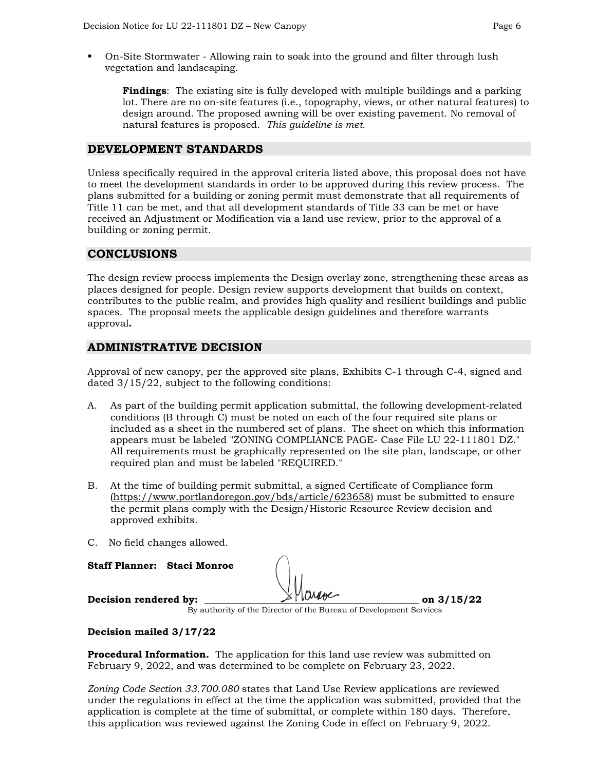On-Site Stormwater - Allowing rain to soak into the ground and filter through lush vegetation and landscaping.

**Findings**: The existing site is fully developed with multiple buildings and a parking lot. There are no on-site features (i.e., topography, views, or other natural features) to design around. The proposed awning will be over existing pavement. No removal of natural features is proposed. *This guideline is met.*

# **DEVELOPMENT STANDARDS**

Unless specifically required in the approval criteria listed above, this proposal does not have to meet the development standards in order to be approved during this review process. The plans submitted for a building or zoning permit must demonstrate that all requirements of Title 11 can be met, and that all development standards of Title 33 can be met or have received an Adjustment or Modification via a land use review, prior to the approval of a building or zoning permit.

# **CONCLUSIONS**

The design review process implements the Design overlay zone, strengthening these areas as places designed for people. Design review supports development that builds on context, contributes to the public realm, and provides high quality and resilient buildings and public spaces. The proposal meets the applicable design guidelines and therefore warrants approval**.**

# **ADMINISTRATIVE DECISION**

Approval of new canopy, per the approved site plans, Exhibits C-1 through C-4, signed and dated 3/15/22, subject to the following conditions:

- A. As part of the building permit application submittal, the following development-related conditions (B through C) must be noted on each of the four required site plans or included as a sheet in the numbered set of plans. The sheet on which this information appears must be labeled "ZONING COMPLIANCE PAGE- Case File LU 22-111801 DZ." All requirements must be graphically represented on the site plan, landscape, or other required plan and must be labeled "REQUIRED."
- B. At the time of building permit submittal, a signed Certificate of Compliance form [\(https://www.portlandoregon.gov/bds/article/623658\)](https://www.portlandoregon.gov/bds/article/623658) must be submitted to ensure the permit plans comply with the Design/Historic Resource Review decision and approved exhibits.
- C. No field changes allowed.

**Staff Planner: Staci Monroe**

**Decision rendered by:**  $\sim$   $\sqrt{10000}$  on 3/15/22

By authority of the Director of the Bureau of Development Services

#### **Decision mailed 3/17/22**

**Procedural Information.** The application for this land use review was submitted on February 9, 2022, and was determined to be complete on February 23, 2022.

*Zoning Code Section 33.700.080* states that Land Use Review applications are reviewed under the regulations in effect at the time the application was submitted, provided that the application is complete at the time of submittal, or complete within 180 days. Therefore, this application was reviewed against the Zoning Code in effect on February 9, 2022.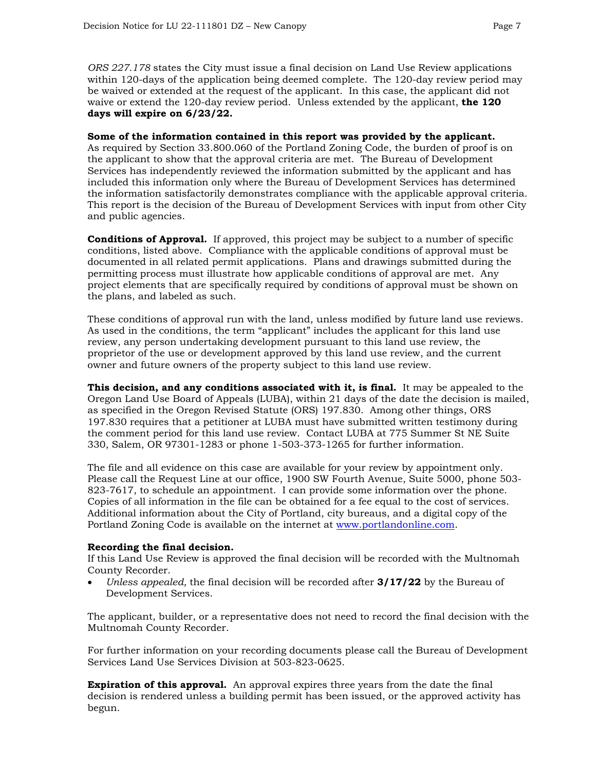*ORS 227.178* states the City must issue a final decision on Land Use Review applications within 120-days of the application being deemed complete. The 120-day review period may be waived or extended at the request of the applicant. In this case, the applicant did not waive or extend the 120-day review period. Unless extended by the applicant, **the 120 days will expire on 6/23/22.**

#### **Some of the information contained in this report was provided by the applicant.**

As required by Section 33.800.060 of the Portland Zoning Code, the burden of proof is on the applicant to show that the approval criteria are met. The Bureau of Development Services has independently reviewed the information submitted by the applicant and has included this information only where the Bureau of Development Services has determined the information satisfactorily demonstrates compliance with the applicable approval criteria. This report is the decision of the Bureau of Development Services with input from other City and public agencies.

**Conditions of Approval.** If approved, this project may be subject to a number of specific conditions, listed above. Compliance with the applicable conditions of approval must be documented in all related permit applications. Plans and drawings submitted during the permitting process must illustrate how applicable conditions of approval are met. Any project elements that are specifically required by conditions of approval must be shown on the plans, and labeled as such.

These conditions of approval run with the land, unless modified by future land use reviews. As used in the conditions, the term "applicant" includes the applicant for this land use review, any person undertaking development pursuant to this land use review, the proprietor of the use or development approved by this land use review, and the current owner and future owners of the property subject to this land use review.

**This decision, and any conditions associated with it, is final.** It may be appealed to the Oregon Land Use Board of Appeals (LUBA), within 21 days of the date the decision is mailed, as specified in the Oregon Revised Statute (ORS) 197.830. Among other things, ORS 197.830 requires that a petitioner at LUBA must have submitted written testimony during the comment period for this land use review. Contact LUBA at 775 Summer St NE Suite 330, Salem, OR 97301-1283 or phone 1-503-373-1265 for further information.

The file and all evidence on this case are available for your review by appointment only. Please call the Request Line at our office, 1900 SW Fourth Avenue, Suite 5000, phone 503- 823-7617, to schedule an appointment. I can provide some information over the phone. Copies of all information in the file can be obtained for a fee equal to the cost of services. Additional information about the City of Portland, city bureaus, and a digital copy of the Portland Zoning Code is available on the internet at [www.portlandonline.com.](http://www.portlandonline.com/)

#### **Recording the final decision.**

If this Land Use Review is approved the final decision will be recorded with the Multnomah County Recorder.

• *Unless appealed,* the final decision will be recorded after **3/17/22** by the Bureau of Development Services.

The applicant, builder, or a representative does not need to record the final decision with the Multnomah County Recorder.

For further information on your recording documents please call the Bureau of Development Services Land Use Services Division at 503-823-0625.

**Expiration of this approval.** An approval expires three years from the date the final decision is rendered unless a building permit has been issued, or the approved activity has begun.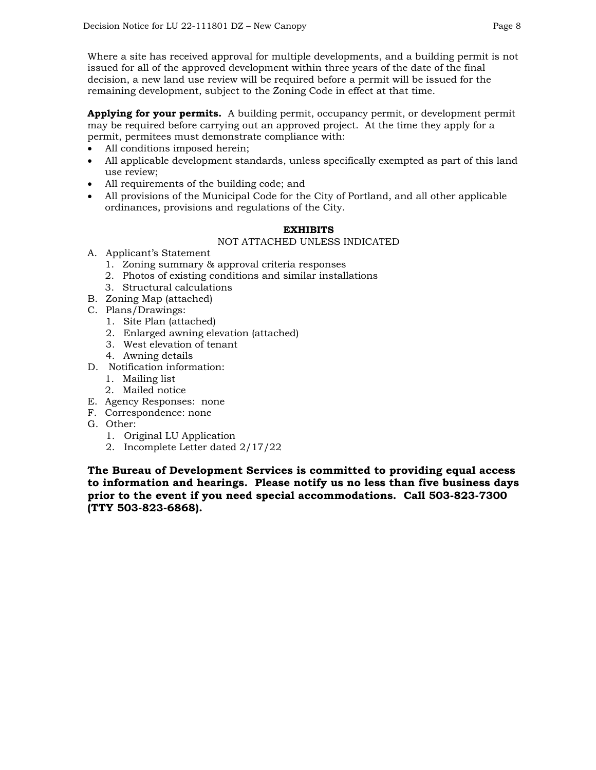Where a site has received approval for multiple developments, and a building permit is not issued for all of the approved development within three years of the date of the final decision, a new land use review will be required before a permit will be issued for the remaining development, subject to the Zoning Code in effect at that time.

**Applying for your permits.** A building permit, occupancy permit, or development permit may be required before carrying out an approved project. At the time they apply for a permit, permitees must demonstrate compliance with:

- All conditions imposed herein;
- All applicable development standards, unless specifically exempted as part of this land use review;
- All requirements of the building code; and
- All provisions of the Municipal Code for the City of Portland, and all other applicable ordinances, provisions and regulations of the City.

# **EXHIBITS**

# NOT ATTACHED UNLESS INDICATED

- A. Applicant's Statement
	- 1. Zoning summary & approval criteria responses
	- 2. Photos of existing conditions and similar installations
	- 3. Structural calculations
- B. Zoning Map (attached)
- C. Plans/Drawings:
	- 1. Site Plan (attached)
	- 2. Enlarged awning elevation (attached)
	- 3. West elevation of tenant
	- 4. Awning details
- D. Notification information:
	- 1. Mailing list
	- 2. Mailed notice
- E. Agency Responses: none
- F. Correspondence: none
- G. Other:
	- 1. Original LU Application
	- 2. Incomplete Letter dated 2/17/22

**The Bureau of Development Services is committed to providing equal access to information and hearings. Please notify us no less than five business days prior to the event if you need special accommodations. Call 503-823-7300 (TTY 503-823-6868).**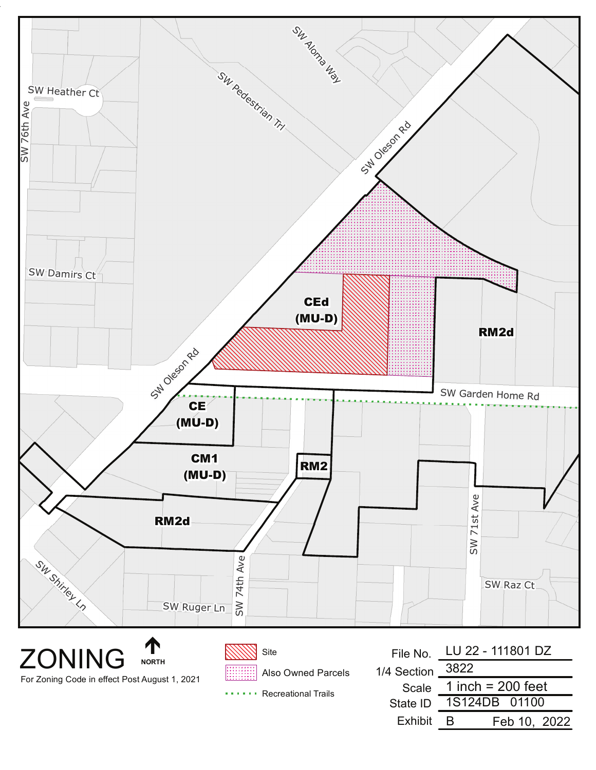

**ZONING NORTH** For Zoning Code in effect Post August 1, 2021

Also Owned Parcels

...... Recreational Trails

|                  | File No. LU 22 - 111801 DZ |
|------------------|----------------------------|
| 1/4 Section 3822 |                            |
| Scale            | 1 inch = $200$ feet        |
| State ID         | 1S124DB 01100              |
| Exhibit          | Feb 10, 2022<br>в          |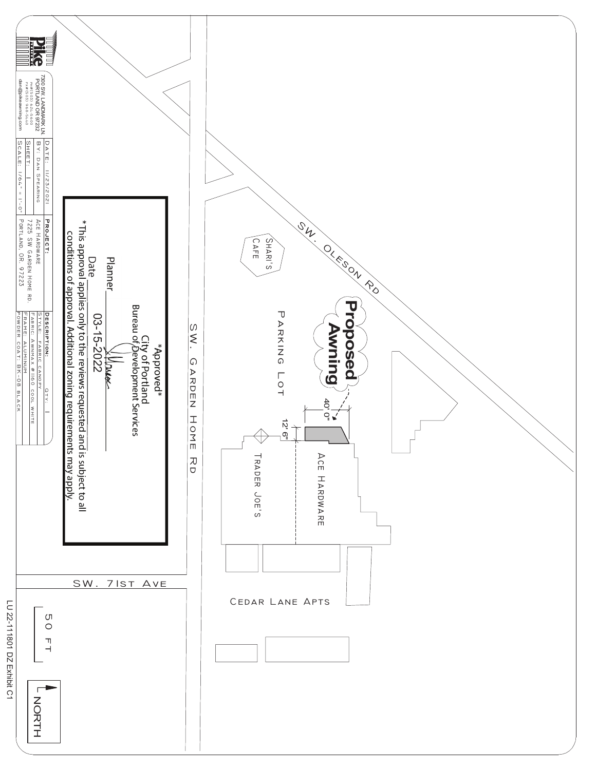